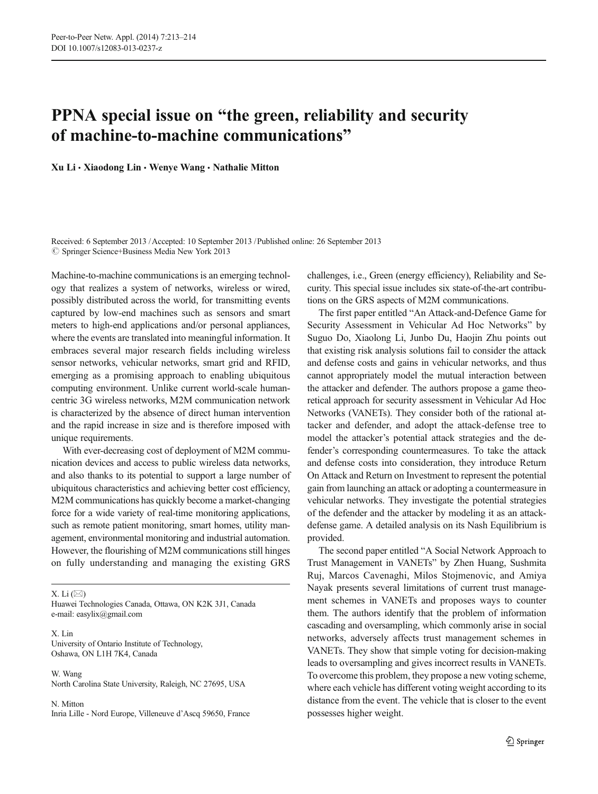## PPNA special issue on "the green, reliability and security of machine-to-machine communications"

Xu Li & Xiaodong Lin & Wenye Wang & Nathalie Mitton

Received: 6 September 2013 /Accepted: 10 September 2013 /Published online: 26 September 2013  $\circledcirc$  Springer Science+Business Media New York 2013

Machine-to-machine communications is an emerging technology that realizes a system of networks, wireless or wired, possibly distributed across the world, for transmitting events captured by low-end machines such as sensors and smart meters to high-end applications and/or personal appliances, where the events are translated into meaningful information. It embraces several major research fields including wireless sensor networks, vehicular networks, smart grid and RFID, emerging as a promising approach to enabling ubiquitous computing environment. Unlike current world-scale humancentric 3G wireless networks, M2M communication network is characterized by the absence of direct human intervention and the rapid increase in size and is therefore imposed with unique requirements.

With ever-decreasing cost of deployment of M2M communication devices and access to public wireless data networks, and also thanks to its potential to support a large number of ubiquitous characteristics and achieving better cost efficiency, M2M communications has quickly become a market-changing force for a wide variety of real-time monitoring applications, such as remote patient monitoring, smart homes, utility management, environmental monitoring and industrial automation. However, the flourishing of M2M communications still hinges on fully understanding and managing the existing GRS

X. Li  $(\boxtimes)$ 

Huawei Technologies Canada, Ottawa, ON K2K 3J1, Canada e-mail: easylix@gmail.com

X. Lin University of Ontario Institute of Technology, Oshawa, ON L1H 7K4, Canada

W. Wang North Carolina State University, Raleigh, NC 27695, USA

N. Mitton Inria Lille - Nord Europe, Villeneuve d'Ascq 59650, France challenges, i.e., Green (energy efficiency), Reliability and Security. This special issue includes six state-of-the-art contributions on the GRS aspects of M2M communications.

The first paper entitled "An Attack-and-Defence Game for Security Assessment in Vehicular Ad Hoc Networks" by Suguo Do, Xiaolong Li, Junbo Du, Haojin Zhu points out that existing risk analysis solutions fail to consider the attack and defense costs and gains in vehicular networks, and thus cannot appropriately model the mutual interaction between the attacker and defender. The authors propose a game theoretical approach for security assessment in Vehicular Ad Hoc Networks (VANETs). They consider both of the rational attacker and defender, and adopt the attack-defense tree to model the attacker's potential attack strategies and the defender's corresponding countermeasures. To take the attack and defense costs into consideration, they introduce Return On Attack and Return on Investment to represent the potential gain from launching an attack or adopting a countermeasure in vehicular networks. They investigate the potential strategies of the defender and the attacker by modeling it as an attackdefense game. A detailed analysis on its Nash Equilibrium is provided.

The second paper entitled "A Social Network Approach to Trust Management in VANETs" by Zhen Huang, Sushmita Ruj, Marcos Cavenaghi, Milos Stojmenovic, and Amiya Nayak presents several limitations of current trust management schemes in VANETs and proposes ways to counter them. The authors identify that the problem of information cascading and oversampling, which commonly arise in social networks, adversely affects trust management schemes in VANETs. They show that simple voting for decision-making leads to oversampling and gives incorrect results in VANETs. To overcome this problem, they propose a new voting scheme, where each vehicle has different voting weight according to its distance from the event. The vehicle that is closer to the event possesses higher weight.